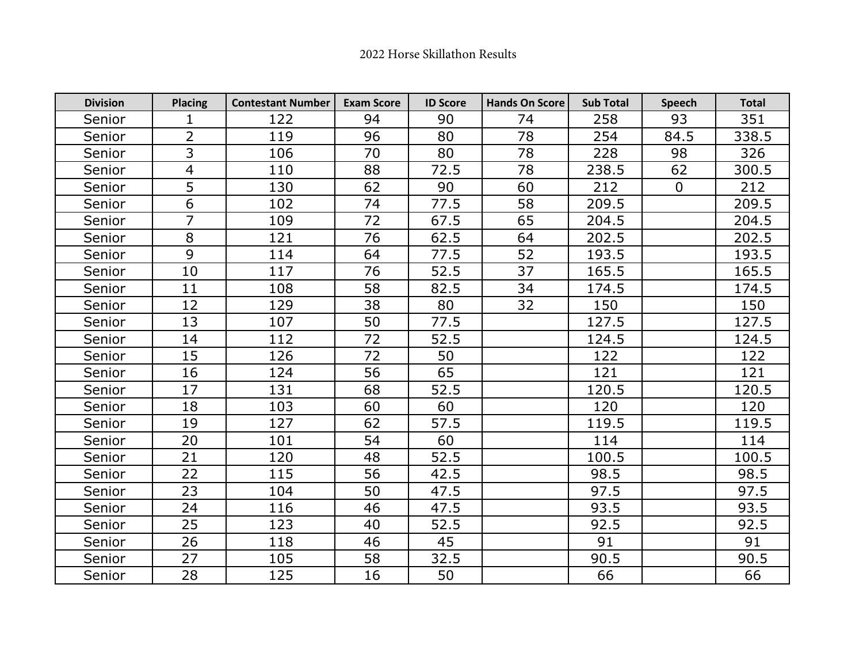| <b>Division</b> | <b>Placing</b> | <b>Contestant Number</b> | <b>Exam Score</b> | <b>ID Score</b> | <b>Hands On Score</b> | <b>Sub Total</b> | <b>Speech</b>  | <b>Total</b> |
|-----------------|----------------|--------------------------|-------------------|-----------------|-----------------------|------------------|----------------|--------------|
| Senior          | 1              | 122                      | 94                | 90              | 74                    | 258              | 93             | 351          |
| Senior          | $\overline{2}$ | 119                      | 96                | 80              | 78                    | 254              | 84.5           | 338.5        |
| Senior          | 3              | 106                      | 70                | 80              | 78                    | 228              | 98             | 326          |
| Senior          | $\overline{4}$ | 110                      | 88                | 72.5            | 78                    | 238.5            | 62             | 300.5        |
| Senior          | 5              | 130                      | 62                | 90              | 60                    | 212              | $\overline{0}$ | 212          |
| Senior          | 6              | 102                      | 74                | 77.5            | 58                    | 209.5            |                | 209.5        |
| Senior          | $\overline{7}$ | 109                      | 72                | 67.5            | 65                    | 204.5            |                | 204.5        |
| Senior          | 8              | 121                      | 76                | 62.5            | 64                    | 202.5            |                | 202.5        |
| Senior          | 9              | 114                      | 64                | 77.5            | 52                    | 193.5            |                | 193.5        |
| Senior          | 10             | 117                      | 76                | 52.5            | 37                    | 165.5            |                | 165.5        |
| Senior          | 11             | 108                      | 58                | 82.5            | 34                    | 174.5            |                | 174.5        |
| Senior          | 12             | 129                      | 38                | 80              | 32                    | 150              |                | 150          |
| Senior          | 13             | 107                      | 50                | 77.5            |                       | 127.5            |                | 127.5        |
| Senior          | 14             | 112                      | 72                | 52.5            |                       | 124.5            |                | 124.5        |
| Senior          | 15             | 126                      | 72                | 50              |                       | 122              |                | 122          |
| Senior          | 16             | 124                      | 56                | 65              |                       | 121              |                | 121          |
| Senior          | 17             | 131                      | 68                | 52.5            |                       | 120.5            |                | 120.5        |
| Senior          | 18             | 103                      | 60                | 60              |                       | 120              |                | 120          |
| Senior          | 19             | 127                      | 62                | 57.5            |                       | 119.5            |                | 119.5        |
| Senior          | 20             | 101                      | 54                | 60              |                       | 114              |                | 114          |
| Senior          | 21             | 120                      | 48                | 52.5            |                       | 100.5            |                | 100.5        |
| Senior          | 22             | 115                      | 56                | 42.5            |                       | 98.5             |                | 98.5         |
| Senior          | 23             | 104                      | 50                | 47.5            |                       | 97.5             |                | 97.5         |
| Senior          | 24             | 116                      | 46                | 47.5            |                       | 93.5             |                | 93.5         |
| Senior          | 25             | 123                      | 40                | 52.5            |                       | 92.5             |                | 92.5         |
| Senior          | 26             | 118                      | 46                | 45              |                       | 91               |                | 91           |
| Senior          | 27             | 105                      | 58                | 32.5            |                       | 90.5             |                | 90.5         |
| Senior          | 28             | 125                      | 16                | 50              |                       | 66               |                | 66           |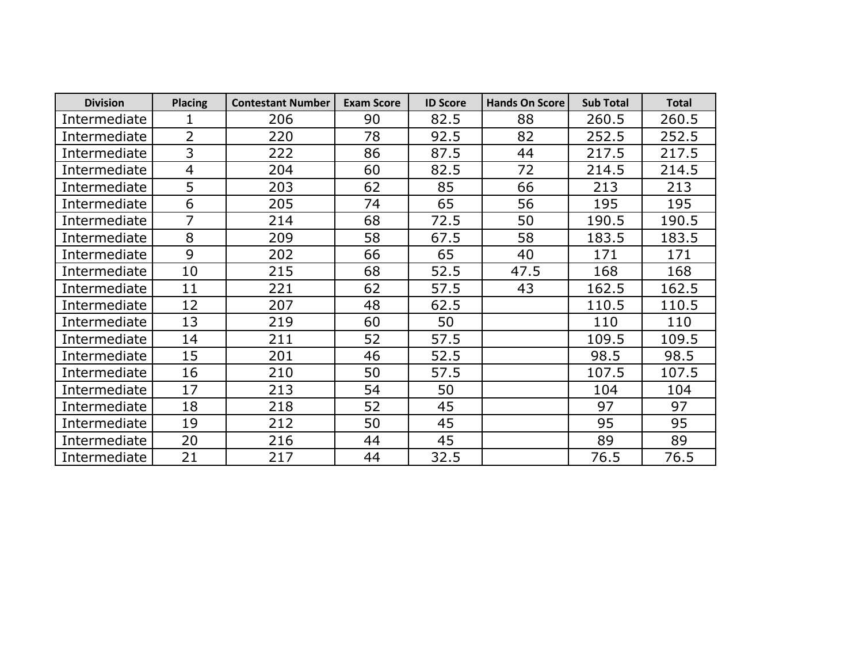| <b>Division</b> | <b>Placing</b> | <b>Contestant Number</b> | <b>Exam Score</b> | <b>ID Score</b> | <b>Hands On Score</b> | <b>Sub Total</b> | <b>Total</b> |
|-----------------|----------------|--------------------------|-------------------|-----------------|-----------------------|------------------|--------------|
| Intermediate    |                | 206                      | 90                | 82.5            | 88                    | 260.5            | 260.5        |
| Intermediate    | $\overline{2}$ | 220                      | 78                | 92.5            | 82                    | 252.5            | 252.5        |
| Intermediate    | 3              | 222                      | 86                | 87.5            | 44                    | 217.5            | 217.5        |
| Intermediate    | 4              | 204                      | 60                | 82.5            | 72                    | 214.5            | 214.5        |
| Intermediate    | 5              | 203                      | 62                | 85              | 66                    | 213              | 213          |
| Intermediate    | 6              | 205                      | 74                | 65              | 56                    | 195              | 195          |
| Intermediate    | 7              | 214                      | 68                | 72.5            | 50                    | 190.5            | 190.5        |
| Intermediate    | 8              | 209                      | 58                | 67.5            | 58                    | 183.5            | 183.5        |
| Intermediate    | 9              | 202                      | 66                | 65              | 40                    | 171              | 171          |
| Intermediate    | 10             | 215                      | 68                | 52.5            | 47.5                  | 168              | 168          |
| Intermediate    | 11             | 221                      | 62                | 57.5            | 43                    | 162.5            | 162.5        |
| Intermediate    | 12             | 207                      | 48                | 62.5            |                       | 110.5            | 110.5        |
| Intermediate    | 13             | 219                      | 60                | 50              |                       | 110              | 110          |
| Intermediate    | 14             | 211                      | 52                | 57.5            |                       | 109.5            | 109.5        |
| Intermediate    | 15             | 201                      | 46                | 52.5            |                       | 98.5             | 98.5         |
| Intermediate    | 16             | 210                      | 50                | 57.5            |                       | 107.5            | 107.5        |
| Intermediate    | 17             | 213                      | 54                | 50              |                       | 104              | 104          |
| Intermediate    | 18             | 218                      | 52                | 45              |                       | 97               | 97           |
| Intermediate    | 19             | 212                      | 50                | 45              |                       | 95               | 95           |
| Intermediate    | 20             | 216                      | 44                | 45              |                       | 89               | 89           |
| Intermediate    | 21             | 217                      | 44                | 32.5            |                       | 76.5             | 76.5         |